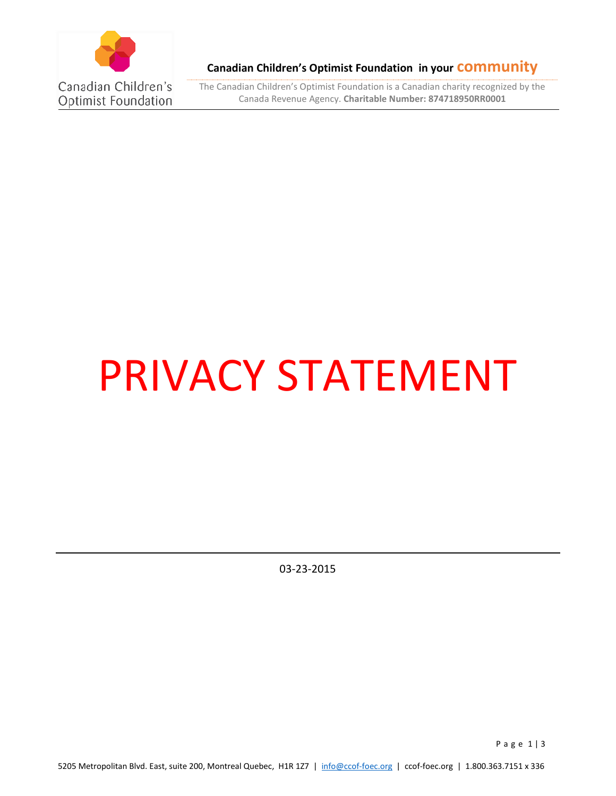

**Canadian Children's Optimist Foundation in your community**

The Canadian Children's Optimist Foundation is a Canadian charity recognized by the Canada Revenue Agency. **Charitable Number: 874718950RR0001**

# PRIVACY STATEMENT

03-23-2015

P a g e 1 | 3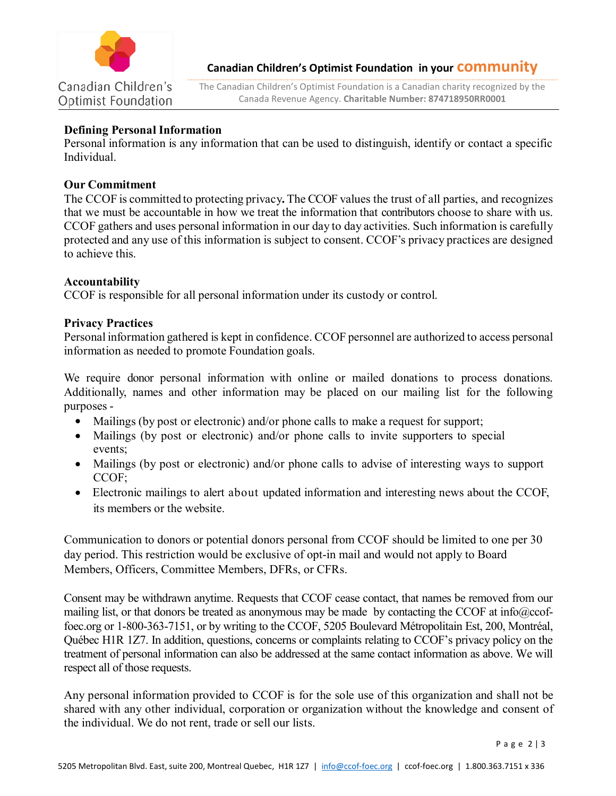

**Canadian Children's Optimist Foundation in your community**

The Canadian Children's Optimist Foundation is a Canadian charity recognized by the Canada Revenue Agency. **Charitable Number: 874718950RR0001**

#### **Defining Personal Information**

Personal information is any information that can be used to distinguish, identify or contact a specific Individual.

### **Our Commitment**

The CCOF is committed to protecting privacy**.** The CCOF values the trust of all parties, and recognizes that we must be accountable in how we treat the information that contributors choose to share with us. CCOF gathers and uses personal information in our day to day activities. Such information is carefully protected and any use of this information is subject to consent. CCOF's privacy practices are designed to achieve this.

## **Accountability**

CCOF is responsible for all personal information under its custody or control.

## **Privacy Practices**

Personal information gathered is kept in confidence. CCOF personnel are authorized to access personal information as needed to promote Foundation goals.

We require donor personal information with online or mailed donations to process donations. Additionally, names and other information may be placed on our mailing list for the following purposes -

- Mailings (by post or electronic) and/or phone calls to make a request for support;
- Mailings (by post or electronic) and/or phone calls to invite supporters to special events;
- Mailings (by post or electronic) and/or phone calls to advise of interesting ways to support CCOF;
- Electronic mailings to alert about updated information and interesting news about the CCOF, its members or the website.

Communication to donors or potential donors personal from CCOF should be limited to one per 30 day period. This restriction would be exclusive of opt-in mail and would not apply to Board Members, Officers, Committee Members, DFRs, or CFRs.

Consent may be withdrawn anytime. Requests that CCOF cease contact, that names be removed from our mailing list, or that donors be treated as anonymous may be made by contacting the CCOF at info@ccoffoec.org or 1-800-363-7151, or by writing to the CCOF, 5205 Boulevard Métropolitain Est, 200, Montréal, Québec H1R 1Z7. In addition, questions, concerns or complaints relating to CCOF's privacy policy on the treatment of personal information can also be addressed at the same contact information as above. We will respect all of those requests.

Any personal information provided to CCOF is for the sole use of this organization and shall not be shared with any other individual, corporation or organization without the knowledge and consent of the individual. We do not rent, trade or sell our lists.